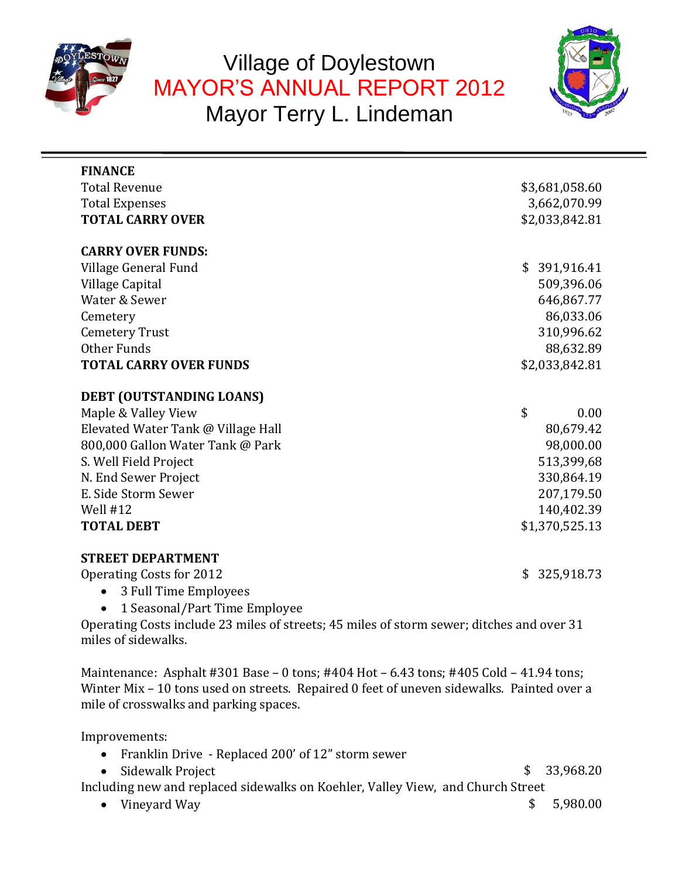

# Village of Doylestown MAYOR'S ANNUAL REPORT 2012 Mayor Terry L. Lindeman



| <b>FINANCE</b>                                                                                                                                                                                                                |                        |  |  |
|-------------------------------------------------------------------------------------------------------------------------------------------------------------------------------------------------------------------------------|------------------------|--|--|
| <b>Total Revenue</b>                                                                                                                                                                                                          | \$3,681,058.60         |  |  |
| <b>Total Expenses</b>                                                                                                                                                                                                         | 3,662,070.99           |  |  |
| <b>TOTAL CARRY OVER</b>                                                                                                                                                                                                       | \$2,033,842.81         |  |  |
|                                                                                                                                                                                                                               |                        |  |  |
| <b>CARRY OVER FUNDS:</b>                                                                                                                                                                                                      |                        |  |  |
| Village General Fund                                                                                                                                                                                                          | \$391,916.41           |  |  |
| Village Capital                                                                                                                                                                                                               | 509,396.06             |  |  |
| Water & Sewer                                                                                                                                                                                                                 | 646,867.77             |  |  |
| Cemetery                                                                                                                                                                                                                      | 86,033.06              |  |  |
| <b>Cemetery Trust</b>                                                                                                                                                                                                         | 310,996.62             |  |  |
| Other Funds                                                                                                                                                                                                                   | 88,632.89              |  |  |
| <b>TOTAL CARRY OVER FUNDS</b>                                                                                                                                                                                                 | \$2,033,842.81         |  |  |
|                                                                                                                                                                                                                               |                        |  |  |
| DEBT (OUTSTANDING LOANS)                                                                                                                                                                                                      | \$<br>0.00             |  |  |
| Maple & Valley View                                                                                                                                                                                                           |                        |  |  |
| Elevated Water Tank @ Village Hall<br>800,000 Gallon Water Tank @ Park                                                                                                                                                        | 80,679.42<br>98,000.00 |  |  |
| S. Well Field Project                                                                                                                                                                                                         | 513,399,68             |  |  |
| N. End Sewer Project                                                                                                                                                                                                          | 330,864.19             |  |  |
| E. Side Storm Sewer                                                                                                                                                                                                           | 207,179.50             |  |  |
| Well $#12$                                                                                                                                                                                                                    | 140,402.39             |  |  |
| <b>TOTAL DEBT</b>                                                                                                                                                                                                             | \$1,370,525.13         |  |  |
|                                                                                                                                                                                                                               |                        |  |  |
| <b>STREET DEPARTMENT</b>                                                                                                                                                                                                      |                        |  |  |
| Operating Costs for 2012                                                                                                                                                                                                      | \$325,918.73           |  |  |
| 3 Full Time Employees<br>$\bullet$                                                                                                                                                                                            |                        |  |  |
| 1 Seasonal/Part Time Employee                                                                                                                                                                                                 |                        |  |  |
| Operating Costs include 23 miles of streets; 45 miles of storm sewer; ditches and over 31                                                                                                                                     |                        |  |  |
| miles of sidewalks.                                                                                                                                                                                                           |                        |  |  |
| Maintenance: Asphalt #301 Base - 0 tons; #404 Hot - 6.43 tons; #405 Cold - 41.94 tons;<br>Winter Mix - 10 tons used on streets. Repaired 0 feet of uneven sidewalks. Painted over a<br>mile of crosswalks and parking spaces. |                        |  |  |
| Improvements:                                                                                                                                                                                                                 |                        |  |  |
| Franklin Drive - Replaced 200' of 12" storm sewer                                                                                                                                                                             |                        |  |  |
| Sidewalk Project                                                                                                                                                                                                              | \$<br>33,968.20        |  |  |
| Including new and replaced sidewalks on Koehler, Valley View, and Church Street                                                                                                                                               |                        |  |  |
| Vineyard Way                                                                                                                                                                                                                  | 5,980.00<br>\$         |  |  |
|                                                                                                                                                                                                                               |                        |  |  |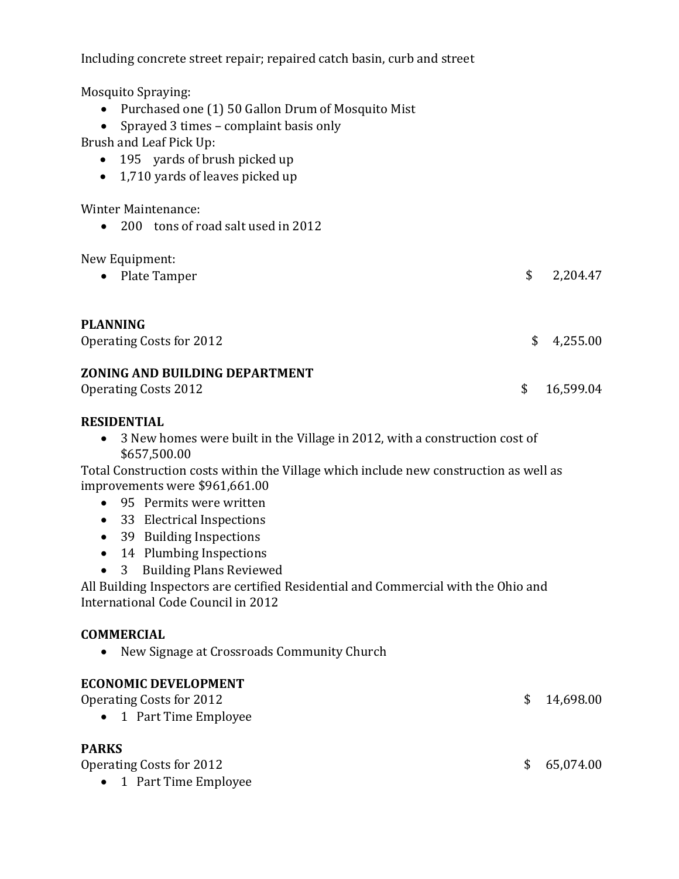| Including concrete street repair; repaired catch basin, curb and street                                                                                                                                                                                                                                                                                                                                                                                                                                                                                                          |                 |
|----------------------------------------------------------------------------------------------------------------------------------------------------------------------------------------------------------------------------------------------------------------------------------------------------------------------------------------------------------------------------------------------------------------------------------------------------------------------------------------------------------------------------------------------------------------------------------|-----------------|
| <b>Mosquito Spraying:</b><br>Purchased one (1) 50 Gallon Drum of Mosquito Mist<br>Sprayed 3 times - complaint basis only<br>Brush and Leaf Pick Up:<br>195 yards of brush picked up<br>$\bullet$<br>1,710 yards of leaves picked up<br>$\bullet$                                                                                                                                                                                                                                                                                                                                 |                 |
| <b>Winter Maintenance:</b><br>200 tons of road salt used in 2012<br>$\bullet$                                                                                                                                                                                                                                                                                                                                                                                                                                                                                                    |                 |
| New Equipment:<br>Plate Tamper                                                                                                                                                                                                                                                                                                                                                                                                                                                                                                                                                   | \$<br>2,204.47  |
| <b>PLANNING</b><br><b>Operating Costs for 2012</b>                                                                                                                                                                                                                                                                                                                                                                                                                                                                                                                               | \$<br>4,255.00  |
| ZONING AND BUILDING DEPARTMENT<br><b>Operating Costs 2012</b>                                                                                                                                                                                                                                                                                                                                                                                                                                                                                                                    | \$<br>16,599.04 |
| <b>RESIDENTIAL</b><br>3 New homes were built in the Village in 2012, with a construction cost of<br>$\bullet$<br>\$657,500.00<br>Total Construction costs within the Village which include new construction as well as<br>improvements were \$961,661.00<br>95 Permits were written<br>$\bullet$<br>33 Electrical Inspections<br>$\bullet$<br>39 Building Inspections<br>$\bullet$<br>14 Plumbing Inspections<br><b>Building Plans Reviewed</b><br>3<br>All Building Inspectors are certified Residential and Commercial with the Ohio and<br>International Code Council in 2012 |                 |
| <b>COMMERCIAL</b><br>New Signage at Crossroads Community Church                                                                                                                                                                                                                                                                                                                                                                                                                                                                                                                  |                 |
| <b>ECONOMIC DEVELOPMENT</b><br><b>Operating Costs for 2012</b><br>1 Part Time Employee                                                                                                                                                                                                                                                                                                                                                                                                                                                                                           | \$<br>14,698.00 |
| <b>PARKS</b><br><b>Operating Costs for 2012</b><br>1 Part Time Employee                                                                                                                                                                                                                                                                                                                                                                                                                                                                                                          | \$<br>65,074.00 |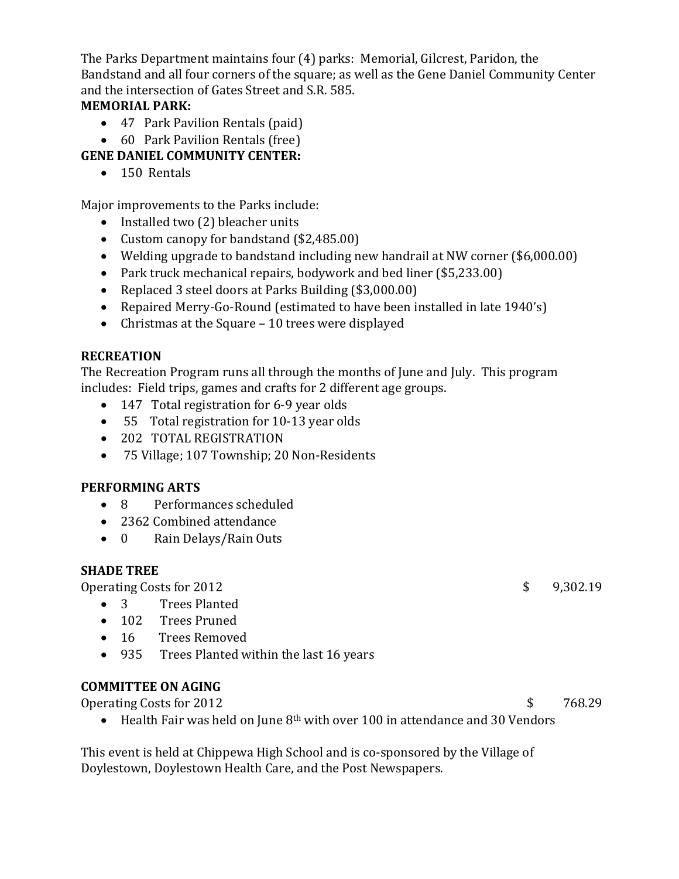The Parks Department maintains four (4) parks: Memorial, Gilcrest, Paridon, the Bandstand and all four corners of the square; as well as the Gene Daniel Community Center and the intersection of Gates Street and S.R. 585.

# **MEMORIAL PARK:**

- 47 Park Pavilion Rentals (paid)
- 60 Park Pavilion Rentals (free)

# **GENE DANIEL COMMUNITY CENTER:**

• 150 Rentals

Major improvements to the Parks include:

- Installed two (2) bleacher units
- Custom canopy for bandstand (\$2,485.00)
- Welding upgrade to bandstand including new handrail at NW corner (\$6,000.00)
- Park truck mechanical repairs, bodywork and bed liner (\$5,233.00)
- Replaced 3 steel doors at Parks Building (\$3,000.00)
- Repaired Merry-Go-Round (estimated to have been installed in late 1940's)
- Christmas at the Square 10 trees were displayed

# **RECREATION**

The Recreation Program runs all through the months of June and July. This program includes: Field trips, games and crafts for 2 different age groups.

- 147 Total registration for 6-9 year olds
- 55 Total registration for 10-13 year olds
- 202 TOTAL REGISTRATION
- 75 Village; 107 Township; 20 Non-Residents

#### **PERFORMING ARTS**

- 8 Performances scheduled
- 2362 Combined attendance
- 0 Rain Delays/Rain Outs

#### **SHADE TREE**

Operating Costs for 2012 3 9,302.19

- 3 Trees Planted
- 102 Trees Pruned
- 16 Trees Removed
- 935 Trees Planted within the last 16 years

#### **COMMITTEE ON AGING**

Operating Costs for 2012 3 768.29

• Health Fair was held on June 8<sup>th</sup> with over 100 in attendance and 30 Vendors

This event is held at Chippewa High School and is co-sponsored by the Village of Doylestown, Doylestown Health Care, and the Post Newspapers.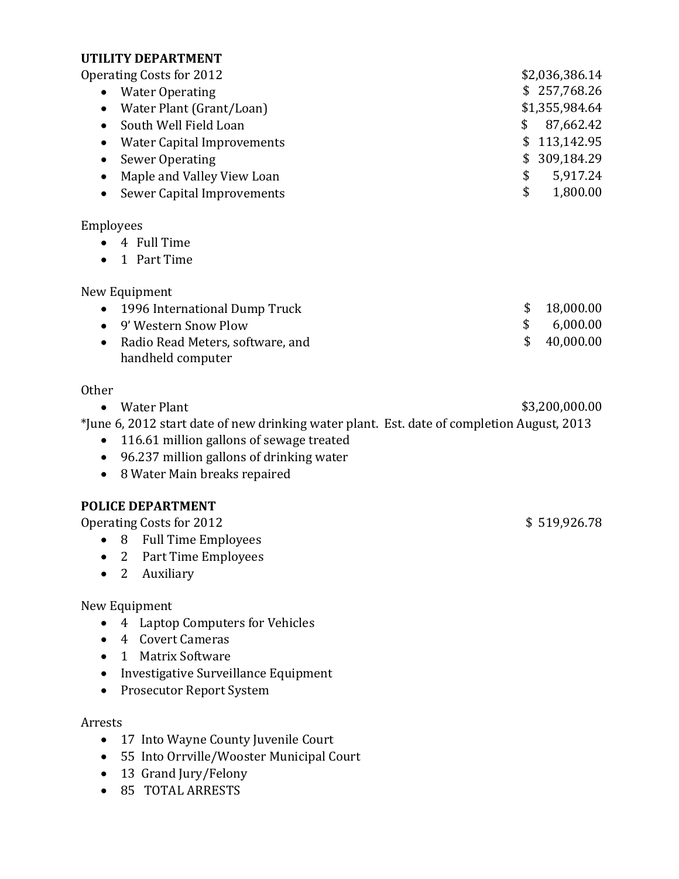#### **UTILITY DEPARTMENT**

Operating Costs for 2012 **\$2,036,386.14** 

• Water Operating \$ 257,768.26 • Water Plant (Grant/Loan) \$1,355,984.64 • South Well Field Loan **\$ 87,662.42** • Water Capital Improvements **\$** 113,142.95 • Sewer Operating \$ 309,184.29 • Maple and Valley View Loan **\$ 5,917.24** • Sewer Capital Improvements **\$** 1,800.00

#### Employees

- 4 Full Time
- 1 Part Time

New Equipment

| • 1996 International Dump Truck    |               | \$18,000.00  |
|------------------------------------|---------------|--------------|
| • 9' Western Snow Plow             | $\mathcal{S}$ | 6,000.00     |
| • Radio Read Meters, software, and |               | \$ 40,000.00 |
| handheld computer                  |               |              |

#### Other

• Water Plant  $$3,200,000.00$ 

\*June 6, 2012 start date of new drinking water plant. Est. date of completion August, 2013

- 116.61 million gallons of sewage treated
- 96.237 million gallons of drinking water
- 8 Water Main breaks repaired

# **POLICE DEPARTMENT**

Operating Costs for 2012 \$ 519,926.78

- 8 Full Time Employees
- 2 Part Time Employees
- 2 Auxiliary

New Equipment

- 4 Laptop Computers for Vehicles
- 4 Covert Cameras
- 1 Matrix Software
- Investigative Surveillance Equipment
- Prosecutor Report System

Arrests

- 17 Into Wayne County Juvenile Court
- 55 Into Orrville/Wooster Municipal Court
- 13 Grand Jury/Felony
- 85 TOTAL ARRESTS